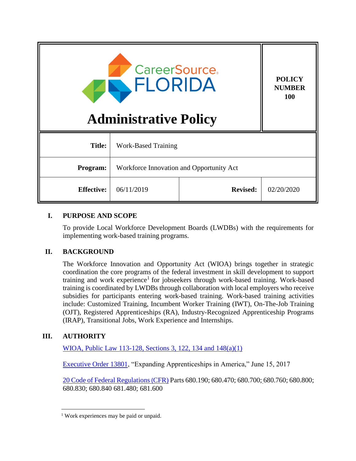| <b>CareerSource</b> .<br>FLORIDA<br><b>Administrative Policy</b> |                                          |                 | <b>POLICY</b><br><b>NUMBER</b><br>100 |
|------------------------------------------------------------------|------------------------------------------|-----------------|---------------------------------------|
| <b>Title:</b>                                                    | <b>Work-Based Training</b>               |                 |                                       |
| Program:                                                         | Workforce Innovation and Opportunity Act |                 |                                       |
| <b>Effective:</b>                                                | 06/11/2019                               | <b>Revised:</b> | 02/20/2020                            |

# **I. PURPOSE AND SCOPE**

To provide Local Workforce Development Boards (LWDBs) with the requirements for implementing work-based training programs.

#### **II. BACKGROUND**

The Workforce Innovation and Opportunity Act (WIOA) brings together in strategic coordination the core programs of the federal investment in skill development to support training and work experience<sup>1</sup> for jobseekers through work-based training. Work-based training is coordinated by LWDBs through collaboration with local employers who receive subsidies for participants entering work-based training. Work-based training activities include: Customized Training, Incumbent Worker Training (IWT), On-The-Job Training (OJT), Registered Apprenticeships (RA), Industry-Recognized Apprenticeship Programs (IRAP), Transitional Jobs, Work Experience and Internships.

# **III. AUTHORITY**

 $\overline{\phantom{a}}$ 

WIOA, Public [Law 113-128, Sections 3, 122, 134 and 148\(a\)\(1\)](https://www.govinfo.gov/content/pkg/PLAW-113publ128/pdf/PLAW-113publ128.pdf)

[Executive Order 13801,](https://www.federalregister.gov/documents/2017/06/20/2017-13012/expanding-apprenticeships-in-america) "Expanding Apprenticeships in America," June 15, 2017

[20 Code of Federal Regulations](https://www.govinfo.gov/content/pkg/FR-2016-08-19/pdf/2016-15975.pdf)(CFR) Parts 680.190; 680.470; 680.700; 680.760; 680.800; 680.830; 680.840 681.480; 681.600

<sup>&</sup>lt;sup>1</sup> Work experiences may be paid or unpaid.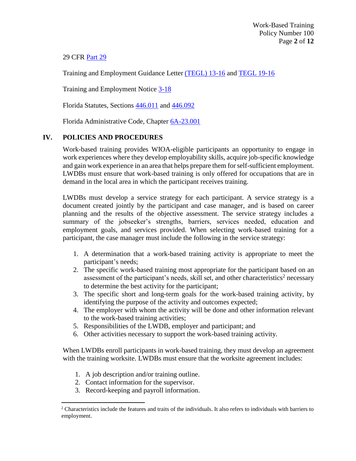# 29 CFR [Part 29](https://doleta.gov/OA/pdf/FinalRule29CFRPart29.pdf)

Training and Employment Guidance Letter [\(TEGL\) 13-16](https://wdr.doleta.gov/directives/corr_doc.cfm?DOCN=9125) and [TEGL 19-16](https://wdr.doleta.gov/directives/corr_doc.cfm?DOCN=3851)

Training and Employment Notice [3-18](https://wdr.doleta.gov/directives/corr_doc.cfm?DOCN=5367)

Florida Statutes, Sections [446.011](http://www.leg.state.fl.us/Statutes/index.cfm?App_mode=Display_Statute&Search_String=&URL=0400-0499/0446/Sections/0446.011.html) and [446.092](http://www.leg.state.fl.us/Statutes/index.cfm?App_mode=Display_Statute&Search_String=&URL=0400-0499/0446/Sections/0446.092.html)

Florida Administrative Code, Chapter [6A-23.001](https://www.flrules.org/gateway/ChapterHome.asp?Chapter=6A-23)

## **IV. POLICIES AND PROCEDURES**

Work-based training provides WIOA-eligible participants an opportunity to engage in work experiences where they develop employability skills, acquire job-specific knowledge and gain work experience in an area that helps prepare them for self-sufficient employment. LWDBs must ensure that work-based training is only offered for occupations that are in demand in the local area in which the participant receives training.

LWDBs must develop a service strategy for each participant. A service strategy is a document created jointly by the participant and case manager, and is based on career planning and the results of the objective assessment. The service strategy includes a summary of the jobseeker's strengths, barriers, services needed, education and employment goals, and services provided. When selecting work-based training for a participant, the case manager must include the following in the service strategy:

- 1. A determination that a work-based training activity is appropriate to meet the participant's needs;
- 2. The specific work-based training most appropriate for the participant based on an assessment of the participant's needs, skill set, and other characteristics<sup>2</sup> necessary to determine the best activity for the participant;
- 3. The specific short and long-term goals for the work-based training activity, by identifying the purpose of the activity and outcomes expected;
- 4. The employer with whom the activity will be done and other information relevant to the work-based training activities;
- 5. Responsibilities of the LWDB, employer and participant; and
- 6. Other activities necessary to support the work-based training activity.

When LWDBs enroll participants in work-based training, they must develop an agreement with the training worksite. LWDBs must ensure that the worksite agreement includes:

- 1. A job description and/or training outline.
- 2. Contact information for the supervisor.

 $\overline{a}$ 

3. Record-keeping and payroll information.

<sup>&</sup>lt;sup>2</sup> Characteristics include the features and traits of the individuals. It also refers to individuals with barriers to employment.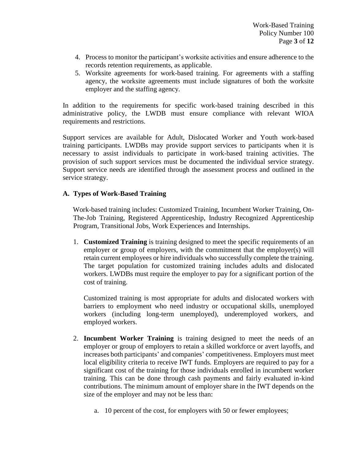- 4. Process to monitor the participant's worksite activities and ensure adherence to the records retention requirements, as applicable.
- 5. Worksite agreements for work-based training. For agreements with a staffing agency, the worksite agreements must include signatures of both the worksite employer and the staffing agency.

In addition to the requirements for specific work-based training described in this administrative policy, the LWDB must ensure compliance with relevant WIOA requirements and restrictions.

Support services are available for Adult, Dislocated Worker and Youth work-based training participants. LWDBs may provide support services to participants when it is necessary to assist individuals to participate in work-based training activities. The provision of such support services must be documented the individual service strategy. Support service needs are identified through the assessment process and outlined in the service strategy.

## **A. Types of Work-Based Training**

Work-based training includes: Customized Training, Incumbent Worker Training, On-The-Job Training, Registered Apprenticeship, Industry Recognized Apprenticeship Program, Transitional Jobs, Work Experiences and Internships.

1. **Customized Training** is training designed to meet the specific requirements of an employer or group of employers, with the commitment that the employer(s) will retain current employees or hire individuals who successfully complete the training. The target population for customized training includes adults and dislocated workers. LWDBs must require the employer to pay for a significant portion of the cost of training.

Customized training is most appropriate for adults and dislocated workers with barriers to employment who need industry or occupational skills, unemployed workers (including long-term unemployed), underemployed workers, and employed workers.

- 2. **Incumbent Worker Training** is training designed to meet the needs of an employer or group of employers to retain a skilled workforce or avert layoffs, and increases both participants' and companies' competitiveness. Employers must meet local eligibility criteria to receive IWT funds. Employers are required to pay for a significant cost of the training for those individuals enrolled in incumbent worker training. This can be done through cash payments and fairly evaluated in-kind contributions. The minimum amount of employer share in the IWT depends on the size of the employer and may not be less than:
	- a. 10 percent of the cost, for employers with 50 or fewer employees;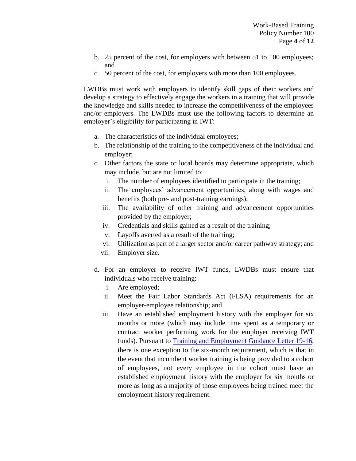- b. 25 percent of the cost, for employers with between 51 to 100 employees; and
- c. 50 percent of the cost, for employers with more than 100 employees.

LWDBs must work with employers to identify skill gaps of their workers and develop a strategy to effectively engage the workers in a training that will provide the knowledge and skills needed to increase the competitiveness of the employees and/or employers. The LWDBs must use the following factors to determine an employer's eligibility for participating in IWT:

- a. The characteristics of the individual employees;
- b. The relationship of the training to the competitiveness of the individual and employer;
- c. Other factors the state or local boards may determine appropriate, which may include, but are not limited to:
	- i. The number of employees identified to participate in the training;
	- ii. The employees' advancement opportunities, along with wages and benefits (both pre- and post-training earnings);
	- iii. The availability of other training and advancement opportunities provided by the employer;
	- iv. Credentials and skills gained as a result of the training;
	- v. Layoffs averted as a result of the training;
	- vi. Utilization as part of a larger sector and/or career pathway strategy; and
	- vii. Employer size.
- d. For an employer to receive IWT funds, LWDBs must ensure that individuals who receive training:
	- i. Are employed;
	- ii. Meet the Fair Labor Standards Act (FLSA) requirements for an employer-employee relationship; and
	- iii. Have an established employment history with the employer for six months or more (which may include time spent as a temporary or contract worker performing work for the employer receiving IWT funds). Pursuant to [Training and Employment Guidance Letter 19-16,](https://wdr.doleta.gov/directives/attach/TEGL/TEGL_19-16_acc.pdf) there is one exception to the six-month requirement, which is that in the event that incumbent worker training is being provided to a cohort of employees, not every employee in the cohort must have an established employment history with the employer for six months or more as long as a majority of those employees being trained meet the employment history requirement.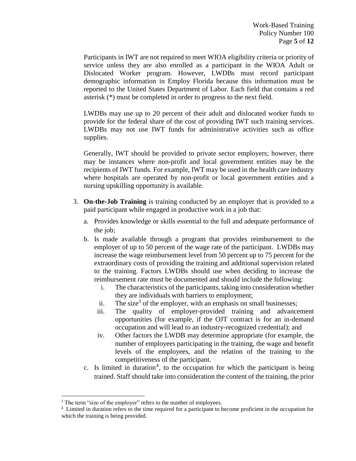Participants in IWT are not required to meet WIOA eligibility criteria or priority of service unless they are also enrolled as a participant in the WIOA Adult or Dislocated Worker program. However, LWDBs must record participant demographic information in Employ Florida because this information must be reported to the United States Department of Labor. Each field that contains a red asterisk (\*) must be completed in order to progress to the next field.

LWDBs may use up to 20 percent of their adult and dislocated worker funds to provide for the federal share of the cost of providing IWT such training services. LWDBs may not use IWT funds for administrative activities such as office supplies.

Generally, IWT should be provided to private sector employers; however, there may be instances where non-profit and local government entities may be the recipients of IWT funds. For example, IWT may be used in the health care industry where hospitals are operated by non-profit or local government entities and a nursing upskilling opportunity is available.

- 3. **On-the-Job Training** is training conducted by an employer that is provided to a paid participant while engaged in productive work in a job that:
	- a. Provides knowledge or skills essential to the full and adequate performance of the job;
	- b. Is made available through a program that provides reimbursement to the employer of up to 50 percent of the wage rate of the participant. LWDBs may increase the wage reimbursement level from 50 percent up to 75 percent for the extraordinary costs of providing the training and additional supervision related to the training. Factors LWDBs should use when deciding to increase the reimbursement rate must be documented and should include the following:
		- i. The characteristics of the participants, taking into consideration whether they are individuals with barriers to employment;
		- ii. The size<sup>3</sup> of the employer, with an emphasis on small businesses;
		- iii. The quality of employer-provided training and advancement opportunities (for example, if the OJT contract is for an in-demand occupation and will lead to an industry-recognized credential); and
		- iv. Other factors the LWDB may determine appropriate (for example, the number of employees participating in the training, the wage and benefit levels of the employees, and the relation of the training to the competitiveness of the participant.
	- c. Is limited in duration<sup>4</sup>, to the occupation for which the participant is being trained. Staff should take into consideration the content of the training, the prior

 $\overline{\phantom{a}}$ 

<sup>&</sup>lt;sup>3</sup> The term "size of the employer" refers to the number of employees.

<sup>&</sup>lt;sup>4</sup> Limited in duration refers to the time required for a participant to become proficient in the occupation for which the training is being provided.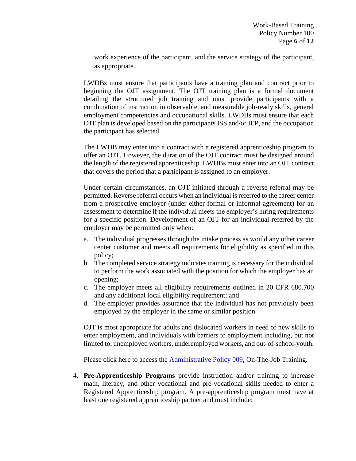work experience of the participant, and the service strategy of the participant, as appropriate.

LWDBs must ensure that participants have a training plan and contract prior to beginning the OJT assignment. The OJT training plan is a formal document detailing the structured job training and must provide participants with a combination of instruction in observable, and measurable job-ready skills, general employment competencies and occupational skills. LWDBs must ensure that each OJT plan is developed based on the participants ISS and/or IEP, and the occupation the participant has selected.

The LWDB may enter into a contract with a registered apprenticeship program to offer an OJT. However, the duration of the OJT contract must be designed around the length of the registered apprenticeship. LWDBs must enter into an OJT contract that covers the period that a participant is assigned to an employer.

Under certain circumstances, an OJT initiated through a reverse referral may be permitted. Reverse referral occurs when an individual is referred to the career center from a prospective employer (under either formal or informal agreement) for an assessment to determine if the individual meets the employer's hiring requirements for a specific position. Development of an OJT for an individual referred by the employer may be permitted only when:

- a. The individual progresses through the intake process as would any other career center customer and meets all requirements for eligibility as specified in this policy;
- b. The completed service strategy indicates training is necessary for the individual to perform the work associated with the position for which the employer has an opening;
- c. The employer meets all eligibility requirements outlined in 20 CFR 680.700 and any additional local eligibility requirement; and
- d. The employer provides assurance that the individual has not previously been employed by the employer in the same or similar position.

OJT is most appropriate for adults and dislocated workers in need of new skills to enter employment, and individuals with barriers to employment including, but not limited to, unemployed workers, underemployed workers, and out-of-school-youth.

Please click here to access the **Administrative Policy 009**, On-The-Job Training.

4. **Pre-Apprenticeship Programs** provide instruction and/or training to increase math, literacy, and other vocational and pre-vocational skills needed to enter a Registered Apprenticeship program. A pre-apprenticeship program must have at least one registered apprenticeship partner and must include: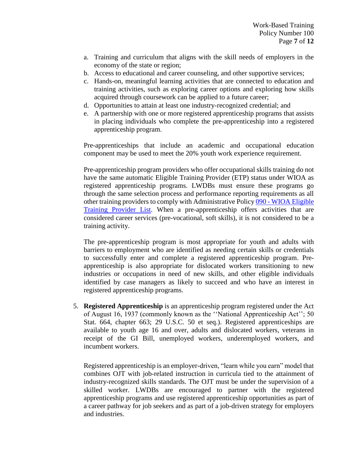- a. Training and curriculum that aligns with the skill needs of employers in the economy of the state or region;
- b. Access to educational and career counseling, and other supportive services;
- c. Hands-on, meaningful learning activities that are connected to education and training activities, such as exploring career options and exploring how skills acquired through coursework can be applied to a future career;
- d. Opportunities to attain at least one industry-recognized credential; and
- e. A partnership with one or more registered apprenticeship programs that assists in placing individuals who complete the pre-apprenticeship into a registered apprenticeship program.

Pre-apprenticeships that include an academic and occupational education component may be used to meet the 20% youth work experience requirement.

Pre-apprenticeship program providers who offer occupational skills training do not have the same automatic Eligible Training Provider (ETP) status under WIOA as registered apprenticeship programs. LWDBs must ensure these programs go through the same selection process and performance reporting requirements as all other training providers to comply with Administrative Policy 090 - [WIOA Eligible](http://www.floridajobs.org/docs/default-source/lwdb-resources/policy-and-guidance/guidance-papers/2016-guidance-papers/wioa_etpl_policy.pdf?sfvrsn=9)  [Training Provider List.](http://www.floridajobs.org/docs/default-source/lwdb-resources/policy-and-guidance/guidance-papers/2016-guidance-papers/wioa_etpl_policy.pdf?sfvrsn=9) When a pre-apprenticeship offers activities that are considered career services (pre-vocational, soft skills), it is not considered to be a training activity.

The pre-apprenticeship program is most appropriate for youth and adults with barriers to employment who are identified as needing certain skills or credentials to successfully enter and complete a registered apprenticeship program. Preapprenticeship is also appropriate for dislocated workers transitioning to new industries or occupations in need of new skills, and other eligible individuals identified by case managers as likely to succeed and who have an interest in registered apprenticeship programs.

5. **Registered Apprenticeship** is an apprenticeship program registered under the Act of August 16, 1937 (commonly known as the ''National Apprenticeship Act''; 50 Stat. 664, chapter 663; 29 U.S.C. 50 et seq.). Registered apprenticeships are available to youth age 16 and over, adults and dislocated workers, veterans in receipt of the GI Bill, unemployed workers, underemployed workers, and incumbent workers.

Registered apprenticeship is an employer-driven, "learn while you earn" model that combines OJT with job-related instruction in curricula tied to the attainment of industry-recognized skills standards. The OJT must be under the supervision of a skilled worker. LWDBs are encouraged to partner with the registered apprenticeship programs and use registered apprenticeship opportunities as part of a career pathway for job seekers and as part of a job-driven strategy for employers and industries.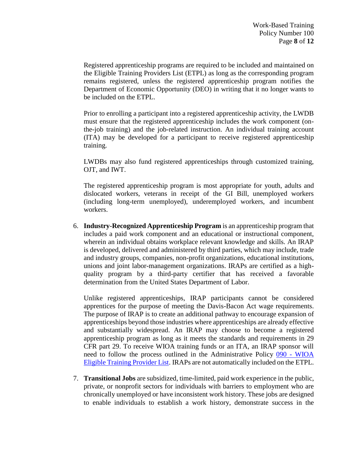Registered apprenticeship programs are required to be included and maintained on the Eligible Training Providers List (ETPL) as long as the corresponding program remains registered, unless the registered apprenticeship program notifies the Department of Economic Opportunity (DEO) in writing that it no longer wants to be included on the ETPL.

Prior to enrolling a participant into a registered apprenticeship activity, the LWDB must ensure that the registered apprenticeship includes the work component (onthe-job training) and the job-related instruction. An individual training account (ITA) may be developed for a participant to receive registered apprenticeship training.

LWDBs may also fund registered apprenticeships through customized training, OJT, and IWT.

The registered apprenticeship program is most appropriate for youth, adults and dislocated workers, veterans in receipt of the GI Bill, unemployed workers (including long-term unemployed), underemployed workers, and incumbent workers.

6. **Industry-Recognized Apprenticeship Program** is an apprenticeship program that includes a paid work component and an educational or instructional component, wherein an individual obtains workplace relevant knowledge and skills. An IRAP is developed, delivered and administered by third parties, which may include, trade and industry groups, companies, non-profit organizations, educational institutions, unions and joint labor-management organizations. IRAPs are certified as a highquality program by a third-party certifier that has received a favorable determination from the United States Department of Labor.

Unlike registered apprenticeships, IRAP participants cannot be considered apprentices for the purpose of meeting the Davis-Bacon Act wage requirements. The purpose of IRAP is to create an additional pathway to encourage expansion of apprenticeships beyond those industries where apprenticeships are already effective and substantially widespread. An IRAP may choose to become a registered apprenticeship program as long as it meets the standards and requirements in 29 CFR part 29. To receive WIOA training funds or an ITA, an IRAP sponsor will need to follow the process outlined in the Administrative Policy 090 - [WIOA](http://www.floridajobs.org/docs/default-source/lwdb-resources/policy-and-guidance/guidance-papers/2016-guidance-papers/wioa_etpl_policy.pdf?sfvrsn=9)  [Eligible Training Provider List.](http://www.floridajobs.org/docs/default-source/lwdb-resources/policy-and-guidance/guidance-papers/2016-guidance-papers/wioa_etpl_policy.pdf?sfvrsn=9) IRAPs are not automatically included on the ETPL.

7. **Transitional Jobs** are subsidized, time-limited, paid work experience in the public, private, or nonprofit sectors for individuals with barriers to employment who are chronically unemployed or have inconsistent work history. These jobs are designed to enable individuals to establish a work history, demonstrate success in the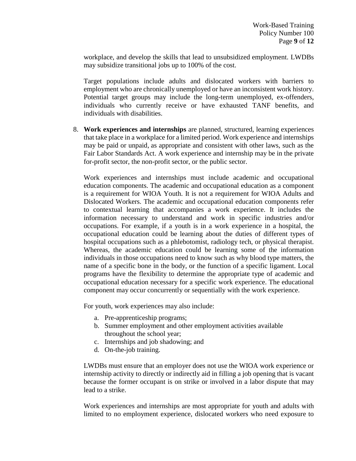workplace, and develop the skills that lead to unsubsidized employment. LWDBs may subsidize transitional jobs up to 100% of the cost.

Target populations include adults and dislocated workers with barriers to employment who are chronically unemployed or have an inconsistent work history. Potential target groups may include the long-term unemployed, ex-offenders, individuals who currently receive or have exhausted TANF benefits, and individuals with disabilities.

8. **Work experiences and internships** are planned, structured, learning experiences that take place in a workplace for a limited period. Work experience and internships may be paid or unpaid, as appropriate and consistent with other laws, such as the Fair Labor Standards Act. A work experience and internship may be in the private for-profit sector, the non-profit sector, or the public sector.

Work experiences and internships must include academic and occupational education components. The academic and occupational education as a component is a requirement for WIOA Youth. It is not a requirement for WIOA Adults and Dislocated Workers. The academic and occupational education components refer to contextual learning that accompanies a work experience. It includes the information necessary to understand and work in specific industries and/or occupations. For example, if a youth is in a work experience in a hospital, the occupational education could be learning about the duties of different types of hospital occupations such as a phlebotomist, radiology tech, or physical therapist. Whereas, the academic education could be learning some of the information individuals in those occupations need to know such as why blood type matters, the name of a specific bone in the body, or the function of a specific ligament. Local programs have the flexibility to determine the appropriate type of academic and occupational education necessary for a specific work experience. The educational component may occur concurrently or sequentially with the work experience.

For youth, work experiences may also include:

- a. Pre-apprenticeship programs;
- b. Summer employment and other employment activities available throughout the school year;
- c. Internships and job shadowing; and
- d. On-the-job training.

LWDBs must ensure that an employer does not use the WIOA work experience or internship activity to directly or indirectly aid in filling a job opening that is vacant because the former occupant is on strike or involved in a labor dispute that may lead to a strike.

Work experiences and internships are most appropriate for youth and adults with limited to no employment experience, dislocated workers who need exposure to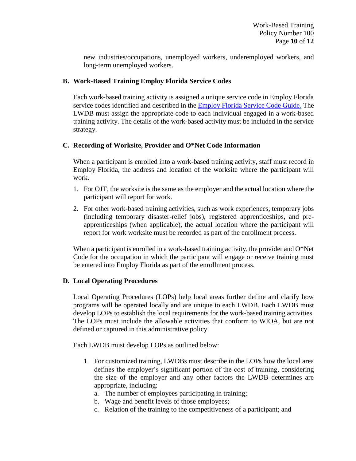new industries/occupations, unemployed workers, underemployed workers, and long-term unemployed workers.

## **B. Work-Based Training Employ Florida Service Codes**

Each work-based training activity is assigned a unique service code in Employ Florida service codes identified and described in the [Employ Florida Service Code Guide.](http://www.floridajobs.org/docs/default-source/lwdb-resources/programs-and-resources/wioa/2018-wioa/service-code-guide-072018.pdf?sfvrsn=6) The LWDB must assign the appropriate code to each individual engaged in a work-based training activity. The details of the work-based activity must be included in the service strategy.

## **C. Recording of Worksite, Provider and O\*Net Code Information**

When a participant is enrolled into a work-based training activity, staff must record in Employ Florida, the address and location of the worksite where the participant will work.

- 1. For OJT, the worksite is the same as the employer and the actual location where the participant will report for work.
- 2. For other work-based training activities, such as work experiences, temporary jobs (including temporary disaster-relief jobs), registered apprenticeships, and preapprenticeships (when applicable), the actual location where the participant will report for work worksite must be recorded as part of the enrollment process.

When a participant is enrolled in a work-based training activity, the provider and O\*Net Code for the occupation in which the participant will engage or receive training must be entered into Employ Florida as part of the enrollment process.

#### **D. Local Operating Procedures**

Local Operating Procedures (LOPs) help local areas further define and clarify how programs will be operated locally and are unique to each LWDB. Each LWDB must develop LOPs to establish the local requirements for the work-based training activities. The LOPs must include the allowable activities that conform to WIOA, but are not defined or captured in this administrative policy.

Each LWDB must develop LOPs as outlined below:

- 1. For customized training, LWDBs must describe in the LOPs how the local area defines the employer's significant portion of the cost of training, considering the size of the employer and any other factors the LWDB determines are appropriate, including:
	- a. The number of employees participating in training;
	- b. Wage and benefit levels of those employees;
	- c. Relation of the training to the competitiveness of a participant; and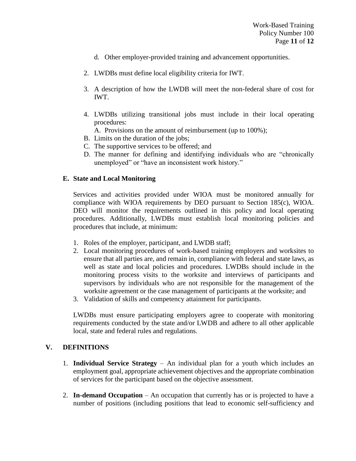- d. Other employer-provided training and advancement opportunities.
- 2. LWDBs must define local eligibility criteria for IWT.
- 3. A description of how the LWDB will meet the non-federal share of cost for IWT.
- 4. LWDBs utilizing transitional jobs must include in their local operating procedures:
	- A. Provisions on the amount of reimbursement (up to 100%);
- B. Limits on the duration of the jobs;
- C. The supportive services to be offered; and
- D. The manner for defining and identifying individuals who are "chronically unemployed" or "have an inconsistent work history."

#### **E. State and Local Monitoring**

Services and activities provided under WIOA must be monitored annually for compliance with WIOA requirements by DEO pursuant to Section 185(c), WIOA. DEO will monitor the requirements outlined in this policy and local operating procedures. Additionally, LWDBs must establish local monitoring policies and procedures that include, at minimum:

- 1. Roles of the employer, participant, and LWDB staff;
- 2. Local monitoring procedures of work-based training employers and worksites to ensure that all parties are, and remain in, compliance with federal and state laws, as well as state and local policies and procedures. LWDBs should include in the monitoring process visits to the worksite and interviews of participants and supervisors by individuals who are not responsible for the management of the worksite agreement or the case management of participants at the worksite; and
- 3. Validation of skills and competency attainment for participants.

LWDBs must ensure participating employers agree to cooperate with monitoring requirements conducted by the state and/or LWDB and adhere to all other applicable local, state and federal rules and regulations.

# **V. DEFINITIONS**

- 1. **Individual Service Strategy** An individual plan for a youth which includes an employment goal, appropriate achievement objectives and the appropriate combination of services for the participant based on the objective assessment.
- 2. **In-demand Occupation** An occupation that currently has or is projected to have a number of positions (including positions that lead to economic self-sufficiency and